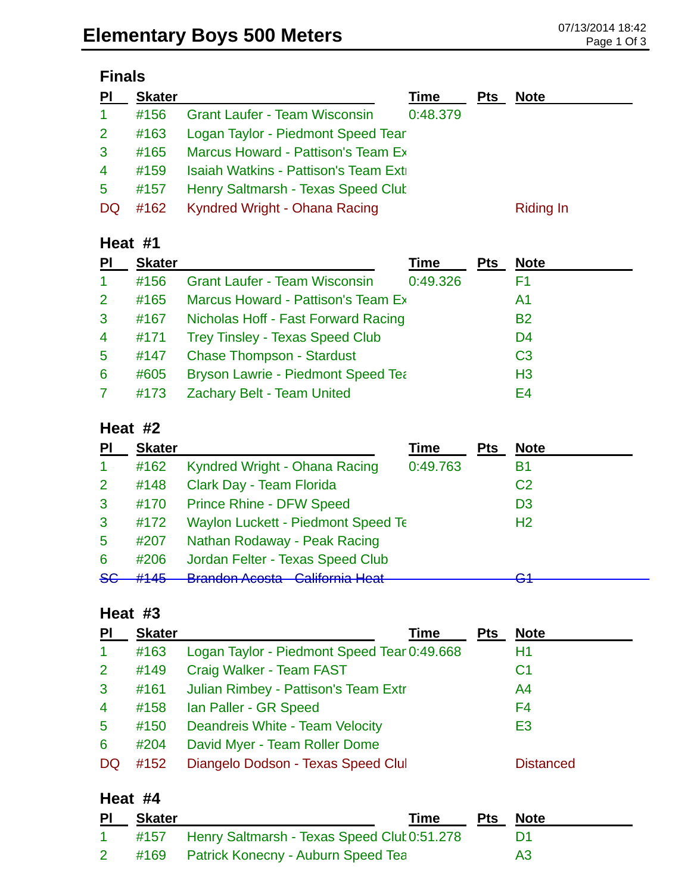# **Finals**

| PI                   | <b>Skater</b> |                                      | Time     | <b>Pts</b> | <b>Note</b> |
|----------------------|---------------|--------------------------------------|----------|------------|-------------|
| $\blacktriangleleft$ | #156          | <b>Grant Laufer - Team Wisconsin</b> | 0:48.379 |            |             |
| 2 <sup>1</sup>       | #163          | Logan Taylor - Piedmont Speed Tear   |          |            |             |
| 3                    | #165          | Marcus Howard - Pattison's Team Ex   |          |            |             |
| $\overline{4}$       | #159          | Isaiah Watkins - Pattison's Team Ext |          |            |             |
| $5^{\circ}$          | #157          | Henry Saltmarsh - Texas Speed Clut   |          |            |             |
| DQ.                  | #162          | Kyndred Wright - Ohana Racing        |          |            | Riding In   |

#### **Heat #1**

| <b>PI</b>            | <b>Skater</b> |                                           | Time     | <b>Pts</b> | <b>Note</b>    |
|----------------------|---------------|-------------------------------------------|----------|------------|----------------|
| $\blacktriangleleft$ | #156          | <b>Grant Laufer - Team Wisconsin</b>      | 0:49.326 |            | F1             |
| $\overline{2}$       | #165          | Marcus Howard - Pattison's Team Ex        |          |            | A1             |
| 3                    | #167          | Nicholas Hoff - Fast Forward Racing       |          |            | <b>B2</b>      |
| $\overline{4}$       | #171          | <b>Trey Tinsley - Texas Speed Club</b>    |          |            | D <sub>4</sub> |
| $5\phantom{.0}$      | #147          | <b>Chase Thompson - Stardust</b>          |          |            | C <sub>3</sub> |
| 6                    | #605          | <b>Bryson Lawrie - Piedmont Speed Tea</b> |          |            | H <sub>3</sub> |
|                      | #173          | Zachary Belt - Team United                |          |            | E4             |

#### **Heat #2**

| PI            | <b>Skater</b> |                                           | Time     | <b>Pts</b> | <b>Note</b>    |
|---------------|---------------|-------------------------------------------|----------|------------|----------------|
|               | #162          | Kyndred Wright - Ohana Racing             | 0:49.763 |            | Β1             |
| 2             | #148          | Clark Day - Team Florida                  |          |            | C <sub>2</sub> |
| 3             | #170          | <b>Prince Rhine - DFW Speed</b>           |          |            | D <sub>3</sub> |
| 3             | #172          | <b>Waylon Luckett - Piedmont Speed Te</b> |          |            | H <sub>2</sub> |
| 5             | #207          | Nathan Rodaway - Peak Racing              |          |            |                |
| 6             | #206          | Jordan Felter - Texas Speed Club          |          |            |                |
| <del>SG</del> | H1AE          | <b>Drandon Acosta</b> Colifornia Hoot     |          |            | ◠◂             |

#### **Heat #3**

| PI             | <b>Skater</b> | <b>Time</b>                                 | Pts | <b>Note</b>      |
|----------------|---------------|---------------------------------------------|-----|------------------|
| $\mathbf{1}$   | #163          | Logan Taylor - Piedmont Speed Tear 0:49.668 |     | H1               |
| 2 <sup>1</sup> | #149          | Craig Walker - Team FAST                    |     | C <sub>1</sub>   |
| $\mathbf{3}$   | #161          | Julian Rimbey - Pattison's Team Extr        |     | A <sup>4</sup>   |
| $\overline{4}$ | #158          | Ian Paller - GR Speed                       |     | F4               |
| $5^{\circ}$    | #150          | Deandreis White - Team Velocity             |     | E <sub>3</sub>   |
| 6              | #204          | David Myer - Team Roller Dome               |     |                  |
| <b>DQ</b>      | #152          | Diangelo Dodson - Texas Speed Clul          |     | <b>Distanced</b> |

#### **Heat #4**

| <b>PI</b> | <b>Skater</b> |                                                  | Time | Pts Note       |
|-----------|---------------|--------------------------------------------------|------|----------------|
|           |               | #157 Henry Saltmarsh - Texas Speed Clut 0:51.278 |      |                |
|           |               | #169 Patrick Konecny - Auburn Speed Tea          |      | A <sub>3</sub> |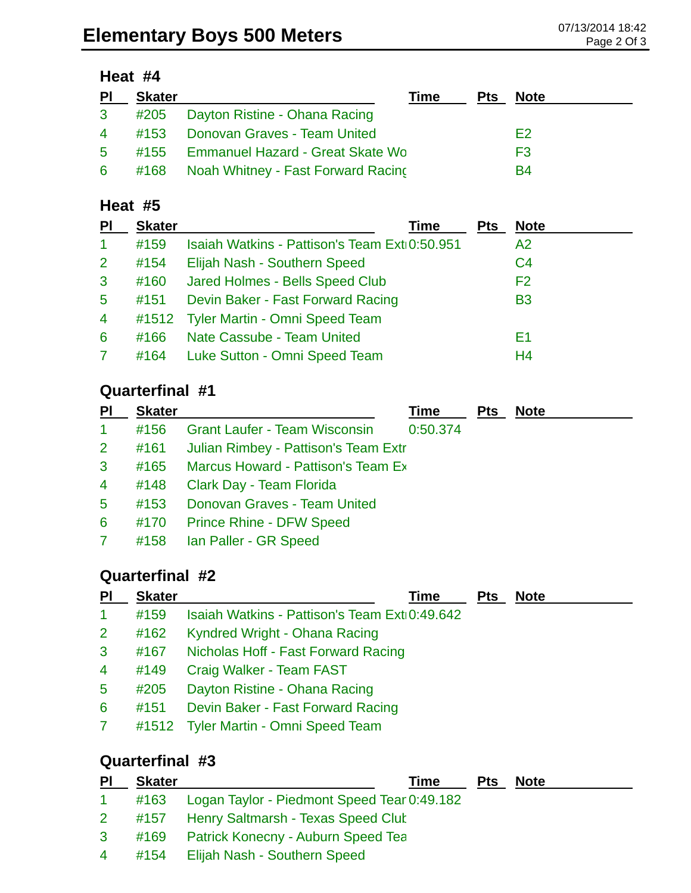### **Heat #4**

| <u>PI</u>      | <b>Skater</b> |                                           | Time | Pts | <b>Note</b>    |
|----------------|---------------|-------------------------------------------|------|-----|----------------|
|                |               | 3 #205 Dayton Ristine - Ohana Racing      |      |     |                |
|                |               | 4 #153 Donovan Graves - Team United       |      |     | E <sub>2</sub> |
| 5 <sup>1</sup> |               | #155 Emmanuel Hazard - Great Skate Wo     |      |     | F <sub>3</sub> |
|                |               | 6 #168 Noah Whitney - Fast Forward Racing |      |     | B4             |

#### **Heat #5**

| PI             | <b>Skater</b> | Time                                          | <b>Pts</b> | <b>Note</b>    |  |
|----------------|---------------|-----------------------------------------------|------------|----------------|--|
| 1              | #159          | Isaiah Watkins - Pattison's Team Ext 0:50.951 |            | A2             |  |
| $\overline{2}$ | #154          | Elijah Nash - Southern Speed                  |            | C <sub>4</sub> |  |
| $\mathbf{3}$   | #160          | Jared Holmes - Bells Speed Club               |            | F <sub>2</sub> |  |
| 5              | #151          | Devin Baker - Fast Forward Racing             |            | <b>B3</b>      |  |
| $\overline{4}$ |               | #1512 Tyler Martin - Omni Speed Team          |            |                |  |
| 6              | #166          | Nate Cassube - Team United                    |            | F1             |  |
|                | #164          | Luke Sutton - Omni Speed Team                 |            | H <sub>4</sub> |  |
|                |               |                                               |            |                |  |

# **Quarterfinal #1**

| <b>Skater</b> | Time                                                                                                                                                                     | <b>Pts</b>                                                                                  | <b>Note</b> |  |
|---------------|--------------------------------------------------------------------------------------------------------------------------------------------------------------------------|---------------------------------------------------------------------------------------------|-------------|--|
| #156          |                                                                                                                                                                          |                                                                                             |             |  |
| #161          |                                                                                                                                                                          |                                                                                             |             |  |
|               |                                                                                                                                                                          |                                                                                             |             |  |
| #148          |                                                                                                                                                                          |                                                                                             |             |  |
| #153          |                                                                                                                                                                          |                                                                                             |             |  |
| #170          |                                                                                                                                                                          |                                                                                             |             |  |
|               |                                                                                                                                                                          |                                                                                             |             |  |
|               | <b>Grant Laufer - Team Wisconsin</b><br>Clark Day - Team Florida<br><b>Donovan Graves - Team United</b><br><b>Prince Rhine - DFW Speed</b><br>#158 Ian Paller - GR Speed | 0:50.374<br>Julian Rimbey - Pattison's Team Extr<br>#165 Marcus Howard - Pattison's Team Ex |             |  |

# **Quarterfinal #2**

| PI                   | <b>Skater</b> | Time                                          | <b>Pts</b> | <b>Note</b> |  |
|----------------------|---------------|-----------------------------------------------|------------|-------------|--|
| $\blacktriangleleft$ | #159          | Isaiah Watkins - Pattison's Team Ext 0:49.642 |            |             |  |
| $\overline{2}$       | #162          | Kyndred Wright - Ohana Racing                 |            |             |  |
| 3                    | #167          | Nicholas Hoff - Fast Forward Racing           |            |             |  |
| $\overline{4}$       | #149          | Craig Walker - Team FAST                      |            |             |  |
| $\overline{5}$       | #205          | Dayton Ristine - Ohana Racing                 |            |             |  |
| 6                    | #151          | Devin Baker - Fast Forward Racing             |            |             |  |
| $\mathbf{7}$         |               | #1512 Tyler Martin - Omni Speed Team          |            |             |  |
|                      |               |                                               |            |             |  |

# **Quarterfinal #3**

| P <sub>1</sub> | <b>Skater</b> |                                                  | Time | <b>Pts</b> | <b>Note</b> |
|----------------|---------------|--------------------------------------------------|------|------------|-------------|
| $\mathbf{1}$   |               | #163 Logan Taylor - Piedmont Speed Tear 0:49.182 |      |            |             |
| $\mathbf{2}$   |               | #157 Henry Saltmarsh - Texas Speed Clut          |      |            |             |
| 3 <sup>1</sup> |               | #169 Patrick Konecny - Auburn Speed Tea          |      |            |             |
| $\overline{4}$ |               | #154 Elijah Nash - Southern Speed                |      |            |             |